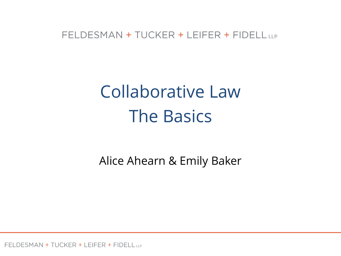#### FELDESMAN + TUCKER + LEIFER + FIDELL LLP

# Collaborative Law The Basics

Alice Ahearn & Emily Baker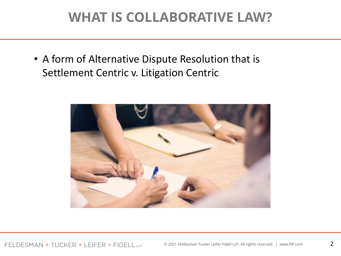### **WHAT IS COLLABORATIVE LAW?**

• A form of Alternative Dispute Resolution that is Settlement Centric v. Litigation Centric

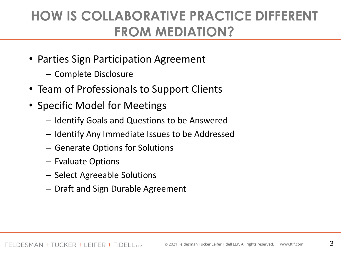### **HOW IS COLLABORATIVE PRACTICE DIFFERENT FROM MEDIATION?**

- Parties Sign Participation Agreement
	- Complete Disclosure
- Team of Professionals to Support Clients
- Specific Model for Meetings
	- Identify Goals and Questions to be Answered
	- Identify Any Immediate Issues to be Addressed
	- Generate Options for Solutions
	- Evaluate Options
	- Select Agreeable Solutions
	- Draft and Sign Durable Agreement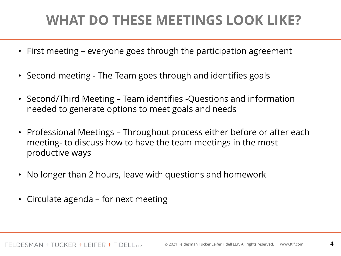## **WHAT DO THESE MEETINGS LOOK LIKE?**

- First meeting everyone goes through the participation agreement
- Second meeting The Team goes through and identifies goals
- Second/Third Meeting Team identifies -Questions and information needed to generate options to meet goals and needs
- Professional Meetings Throughout process either before or after each meeting- to discuss how to have the team meetings in the most productive ways
- No longer than 2 hours, leave with questions and homework
- Circulate agenda for next meeting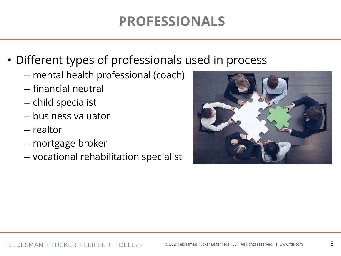## **PROFESSIONALS**

- Different types of professionals used in process
	- mental health professional (coach)
	- financial neutral
	- child specialist
	- business valuator
	- realtor
	- mortgage broker
	- vocational rehabilitation specialist

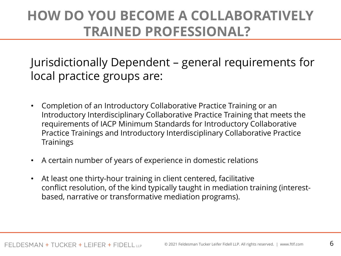### **HOW DO YOU BECOME A COLLABORATIVELY TRAINED PROFESSIONAL?**

Jurisdictionally Dependent – general requirements for local practice groups are:

- Completion of an Introductory Collaborative Practice Training or an Introductory Interdisciplinary Collaborative Practice Training that meets the requirements of IACP Minimum Standards for Introductory Collaborative Practice Trainings and Introductory Interdisciplinary Collaborative Practice **Trainings**
- A certain number of years of experience in domestic relations
- At least one thirty-hour training in client centered, facilitative conflict resolution, of the kind typically taught in mediation training (interestbased, narrative or transformative mediation programs).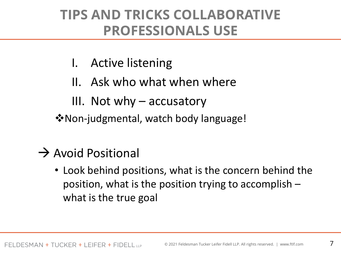#### **TIPS AND TRICKS COLLABORATIVE PROFESSIONALS USE**

- I. Active listening
- II. Ask who what when where
- III. Not why  $-$  accusatory
- **\*** Non-judgmental, watch body language!

### $\rightarrow$  Avoid Positional

• Look behind positions, what is the concern behind the position, what is the position trying to accomplish – what is the true goal

7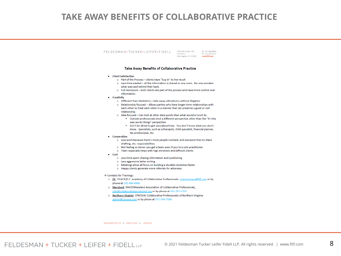#### **TAKE AWAY BENEFITS OF COLLABORATIVE PRACTICE**

#### FELDESMAN + TUCKER + LEIFER + FIDELL

1129 20th Street, NW T. 202.466.8960 Suite 400 F. 202.293.8103 Washington, DC 20036 WWW.ftlf.com

#### Take Away Benefits of Collaborative Practice

- Client Satisfaction
	- o Part of the Process clients have "buy in" to the result
	- o Less time wasted all the information is shared in one room. No one wonders what was said behind their back.
	- o Full disclosure both clients are part of the process and have more control over information
- Creativity
	- o Different than Mediation take away ultimatums without litigation
	- o Relationship focused -- Allows parties who have longer term relationships with each other to treat each other in a manner that can preserve a good or civil relationship.
	- o Idea focused Can look at other data points than what would a Court do.
		- " Outside professionals lend a different perspective other than the "it's the way we do things" perspective
		- Don't be afraid to get specialized help You don't know what you don't know. Specialists, such as a therapist, child specialist, financial planner, tax professional, etc.
- Cooperation
	- o Less work because there's more people involved, and everyone tries to share drafting, etc. responsibilities.
	- o Not feeling so alone--you get a team even if you're a solo practitioner
	- o Team especially helps with high emotions and difficult clients
- $\bullet$  Cost
	- o Less time spent sharing information and positioning
	- o Less aggressive letter writing
	- o Meetings allow all focus on building a durable resolution faster
	- o Happy clients generate more referrals for attorneys.

 $\rightarrow$  Contacts for Trainings:

- o DC: DCACP/D.C. Academy of Collaborative Professionals: szimmerman@ftlf.com or by phone at 202-466-8960
- o Maryland: MACP/Maryland Association of Collaborative Professionals: info@collaborativeprojectmd.org or by phone at 301-267-5701
- o Northern Virginia: CPNOVA/Collaborative Professionals of Northern Virginia: admin@cpnova.com or by phone at 571-246-7584

WASHINGTON DC + MARYLAND + VIRGINIA